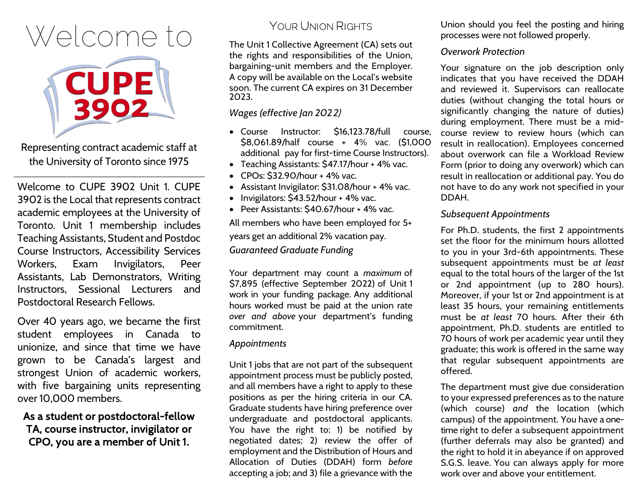# Welcome to



Representing contract academic staff at the University of Toronto since 1975

Welcome to CUPE 3902 Unit 1. CUPE 3902 is the Local that represents contract academic employees at the University of Toronto. Unit 1 membership includes Teaching Assistants, Student and Postdoc Course Instructors, Accessibility Services Workers, Exam Invigilators, Peer Assistants, Lab Demonstrators, Writing Instructors, Sessional Lecturers and Postdoctoral Research Fellows.

Over 40 years ago, we became the first student employees in Canada to unionize, and since that time we have grown to be Canada's largest and strongest Union of academic workers, with five bargaining units representing over 10,000 members.

# As a student or postdoctoral-fellow TA, course instructor, invigilator or CPO, you are a member of Unit 1.

# YOUR UNION RIGHTS

The Unit 1 Collective Agreement (CA) sets out the rights and responsibilities of the Union, bargaining-unit members and the Employer. A copy will be available on the Local's website soon. The current CA expires on 31 December 2023.

#### *Wages (effective Jan 202*2)

- Course Instructor: \$16,123.78/full course, \$8,061.89/half course + 4% vac. (\$1,000 additional pay for first-time Course Instructors).
- Teaching Assistants: \$47.17/hour + 4% vac.
- CPOs: \$32.90/hour + 4% vac.
- Assistant Invigilator: \$31.08/hour + 4% vac.
- Invigilators: \$43.52/hour + 4% vac.
- Peer Assistants: \$40.67/hour + 4% vac.

All members who have been employed for 5+ years get an additional 2% vacation pay. *Guaranteed Graduate Funding*

Your department may count a *maximum* of \$7,895 (effective September 2022) of Unit 1 work in your funding package. Any additional hours worked must be paid at the union rate *over and above* your department's funding commitment.

#### *Appointments*

Unit 1 jobs that are not part of the subsequent appointment process must be publicly posted, and all members have a right to apply to these positions as per the hiring criteria in our CA. Graduate students have hiring preference over undergraduate and postdoctoral applicants. You have the right to: 1) be notified by negotiated dates; 2) review the offer of employment and the Distribution of Hours and Allocation of Duties (DDAH) form *before* accepting a job; and 3) file a grievance with the

Union should you feel the posting and hiring processes were not followed properly.

#### *Overwork Protection*

Your signature on the job description only indicates that you have received the DDAH and reviewed it. Supervisors can reallocate duties (without changing the total hours or significantly changing the nature of duties) during employment. There must be a midcourse review to review hours (which can result in reallocation). Employees concerned about overwork can file a Workload Review Form (prior to doing any overwork) which can result in reallocation or additional pay. You do not have to do any work not specified in your DDAH.

#### *Subsequent Appointments*

For Ph.D. students, the first 2 appointments set the floor for the minimum hours allotted to you in your 3rd-6th appointments. These subsequent appointments must be *at least* equal to the total hours of the larger of the 1st or 2nd appointment (up to 280 hours). Moreover, if your 1st or 2nd appointment is at least 35 hours, your remaining entitlements must be *at least* 70 hours. After their 6th appointment, Ph.D. students are entitled to 70 hours of work per academic year until they graduate; this work is offered in the same way that regular subsequent appointments are offered.

The department must give due consideration to your expressed preferences as to the nature (which course) *and* the location (which campus) of the appointment. You have a onetime right to defer a subsequent appointment (further deferrals may also be granted) and the right to hold it in abeyance if on approved S.G.S. leave. You can always apply for more work over and above your entitlement.